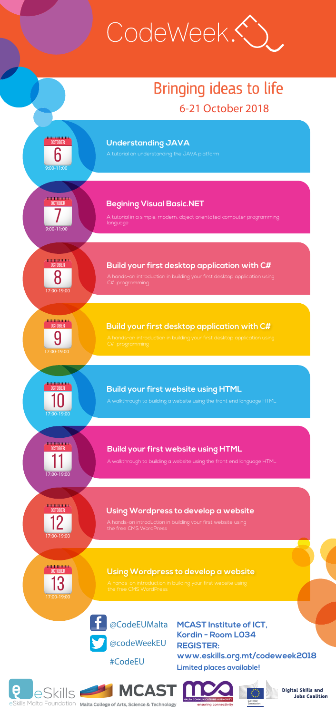

### **Understanding JAVA**

A tutorial on understanding the JAVA platform





I MCAST MCA

eSkills Malta Foundation Malta College of Arts, Science & Technology





**Digital Skills and Jobs Coalition** 



#CodeEU

@CodeEUMalta **MCAST Institute of ICT, Limited places available! REGISTER: www.eskills.org.mt/codeweek2018 Kordin - Room L034**

A hands-on introduction in building your first desktop application using C# programming

# <u>╶┠╫╂╫╁╁╁╁╁╁╁╁╁╁</u> **OCTOBER** 7

# <del>╱╉╂╂╂╊╂┪┨╊╊┪┪╿┢┡</del>╲ **OCTOBER** 8

A hands-on introduction in building your first desktop application using C# programming

## **Begining Visual Basic.NET**

A tutorial in a simple, modern, object orientated computer programming language

**ANTHUNITIE OCTOBER**  $\overline{\phantom{0}}$ 17:00-19:00

### **Build your first desktop application with C#**

╱┽┽┽╫╫┽┽╫╿┼╂╂╂╂╊╾ **OCTOBER** 12

9:00-11:00

17:00-19:00

**OCTOBER** 13 17:00-19:00

A hands-on introduction in building your first website using the free CMS WordPress



# Bringing ideas to life 6-21 October 2018

#### **Build your first desktop application with C#**



**OCTOBER** 

## **Build your first website using HTML**

A walkthrough to building a website using the front end language HTML

11

17:00-19:00

## **Build your first website using HTML**

A walkthrough to building a website using the front end language HTML

17:00-19:00

**Using Wordpress to develop a website** 

A hands-on introduction in building your first website using the free CMS WordPress

## **Using Wordpress to develop a website**